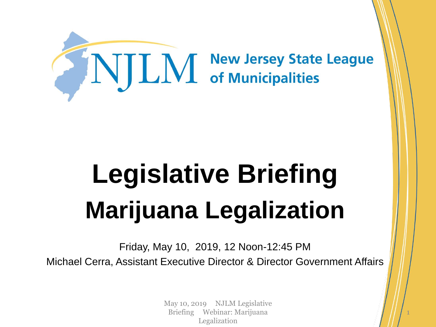

# **Legislative Briefing Marijuana Legalization**

Friday, May 10, 2019, 12 Noon-12:45 PM Michael Cerra, Assistant Executive Director & Director Government Affairs

> May 10, 2019 NJLM Legislative Briefing Webinar: Marijuana Legalization

1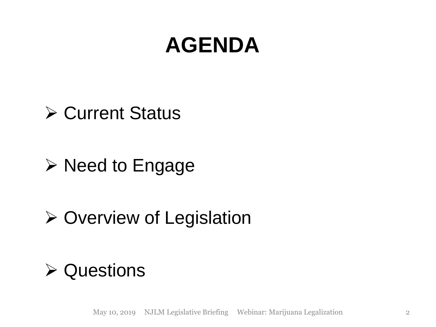# **AGENDA**

#### **≻ Current Status**

### $\triangleright$  Need to Engage

### $\triangleright$  Overview of Legislation

#### **≻ Questions**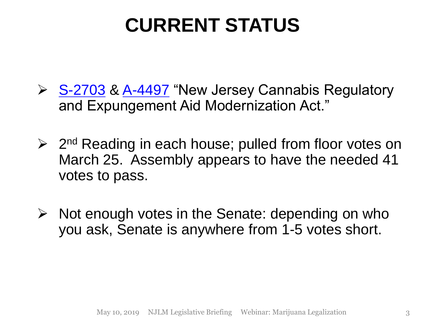# **CURRENT STATUS**

- ▶ [S-2703](https://www.njleg.state.nj.us/2018/Bills/S3000/2703_R1.PDF) & [A-4497](https://www.njleg.state.nj.us/2018/Bills/a4500/4497_i1.pdf) "New Jersey Cannabis Regulatory and Expungement Aid Modernization Act."
- ▶ 2<sup>nd</sup> Reading in each house; pulled from floor votes on March 25. Assembly appears to have the needed 41 votes to pass.
- $\triangleright$  Not enough votes in the Senate: depending on who you ask, Senate is anywhere from 1-5 votes short.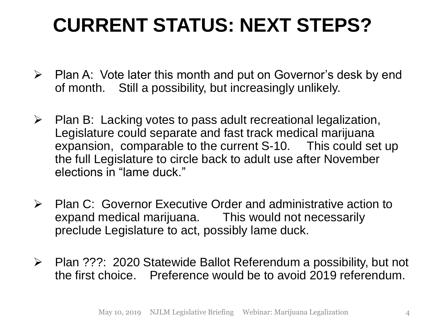# **CURRENT STATUS: NEXT STEPS?**

- $\triangleright$  Plan A: Vote later this month and put on Governor's desk by end of month. Still a possibility, but increasingly unlikely.
- $\triangleright$  Plan B: Lacking votes to pass adult recreational legalization, Legislature could separate and fast track medical marijuana expansion, comparable to the current S-10. This could set up the full Legislature to circle back to adult use after November elections in "lame duck."
- $\triangleright$  Plan C: Governor Executive Order and administrative action to expand medical marijuana. This would not necessarily preclude Legislature to act, possibly lame duck.
- Plan ???: 2020 Statewide Ballot Referendum a possibility, but not the first choice. Preference would be to avoid 2019 referendum.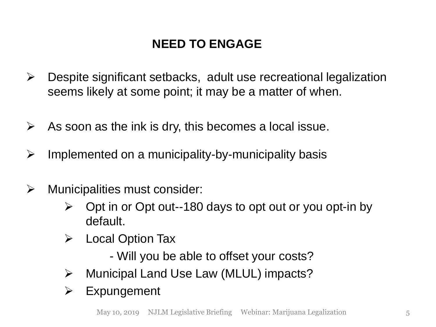#### **NEED TO ENGAGE**

- Despite significant setbacks, adult use recreational legalization seems likely at some point; it may be a matter of when.
- $\triangleright$  As soon as the ink is dry, this becomes a local issue.
- $\triangleright$  Implemented on a municipality-by-municipality basis
- $\triangleright$  Municipalities must consider:
	- $\triangleright$  Opt in or Opt out--180 days to opt out or you opt-in by default.
	- $\triangleright$  Local Option Tax
		- Will you be able to offset your costs?
	- Municipal Land Use Law (MLUL) impacts?
	- $\triangleright$  Expungement

May 10, 2019 NJLM Legislative Briefing Webinar: Marijuana Legalization 5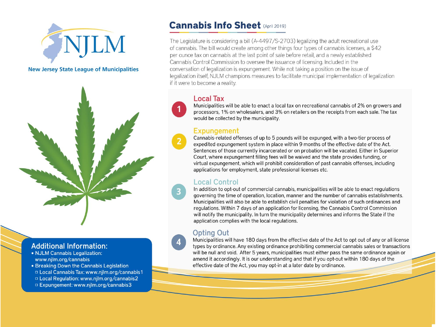

**New Jersey State League of Municipalities** 



#### **Additional Information:**

- NJLM Cannabis Legalization: www.njlm.org/cannabis
- Breaking Down the Cannabis Legislation
- D Local Cannabis Tax: www.njlm.org/cannabis1
- D Local Regulation: www.njlm.org/cannabis2
- □ Expungement: www.njlm.org/cannabis3

#### **Cannabis Info Sheet (April 2019)**

The Legislature is considering a bill (A-4497/S-2703) legalizing the adult recreational use of cannabis. The bill would create among other things four types of cannabis licenses, a \$42 per ounce tax on cannabis at the last point of sale before retail, and a newly established Cannabis Control Commission to oversee the issuance of licensing. Included in the conversation of legalization is expungement. While not taking a position on the issue of legalization itself, NJLM champions measures to facilitate municipal implementation of legalization if it were to become a reality.

#### **Local Tax**

Municipalities will be able to enact a local tax on recreational cannabis of 2% on growers and processors, 1% on wholesalers, and 3% on retailers on the receipts from each sale. The tax would be collected by the municipality.

#### **Expungement**

Cannabis-related offenses of up to 5 pounds will be expunged, with a two-tier process of expedited expungement system in place within 9 months of the effective date of the Act. Sentences of those currently incarcerated or on probation will be vacated. Either in Superior Court, where expungement filling fees will be waived and the state provides funding, or virtual expungement, which will prohibit consideration of past cannabis offenses, including applications for employment, state professional licenses etc.

#### **Local Control**

In addition to opt-out of commercial cannabis, municipalities will be able to enact regulations governing the time of operation, location, manner and the number of cannabis establishments. Municipalities will also be able to establish civil penalties for violation of such ordinances and regulations. Within 7 days of an application for licensing, the Cannabis Control Commission will notify the municipality. In turn the municipality determines and informs the State if the application complies with the local regulations.

#### **Opting Out**

Municipalities will have 180 days from the effective date of the Act to opt out of any or all license types by ordinance. Any existing ordinance prohibiting commercial cannabis sales or transactions will be null and void. After 5 years, municipalities must either pass the same ordinance again or amend it accordingly. It is our understanding and that if you opt-out within 180 days of the effective date of the Act, you may opt-in at a later date by ordinance.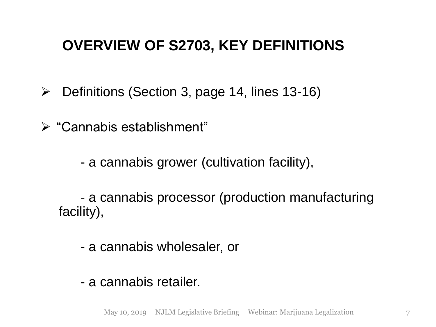#### **OVERVIEW OF S2703, KEY DEFINITIONS**

 $\triangleright$  Definitions (Section 3, page 14, lines 13-16)

"Cannabis establishment"

- a cannabis grower (cultivation facility),

- a cannabis processor (production manufacturing facility),

- a cannabis wholesaler, or

- a cannabis retailer.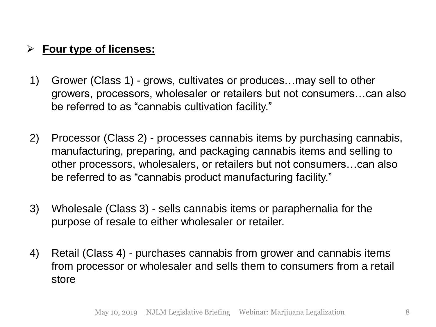#### **Four type of licenses:**

- 1) Grower (Class 1) grows, cultivates or produces…may sell to other growers, processors, wholesaler or retailers but not consumers…can also be referred to as "cannabis cultivation facility."
- 2) Processor (Class 2) processes cannabis items by purchasing cannabis, manufacturing, preparing, and packaging cannabis items and selling to other processors, wholesalers, or retailers but not consumers…can also be referred to as "cannabis product manufacturing facility."
- 3) Wholesale (Class 3) sells cannabis items or paraphernalia for the purpose of resale to either wholesaler or retailer.
- 4) Retail (Class 4) purchases cannabis from grower and cannabis items from processor or wholesaler and sells them to consumers from a retail store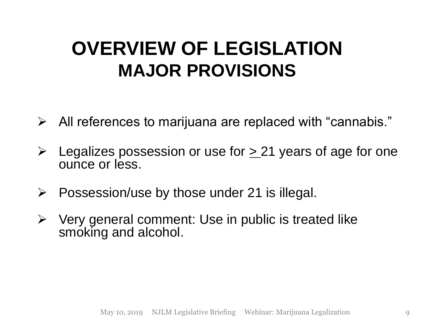### **OVERVIEW OF LEGISLATION MAJOR PROVISIONS**

- $\triangleright$  All references to marijuana are replaced with "cannabis."
- $\geq$  Legalizes possession or use for  $\geq$  21 years of age for one ounce or less.
- $\triangleright$  Possession/use by those under 21 is illegal.
- $\triangleright$  Very general comment: Use in public is treated like smoking and alcohol.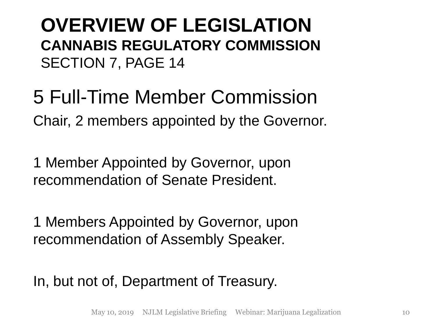**OVERVIEW OF LEGISLATION CANNABIS REGULATORY COMMISSION** SECTION 7, PAGE 14

5 Full-Time Member Commission Chair, 2 members appointed by the Governor.

1 Member Appointed by Governor, upon recommendation of Senate President.

1 Members Appointed by Governor, upon recommendation of Assembly Speaker.

In, but not of, Department of Treasury.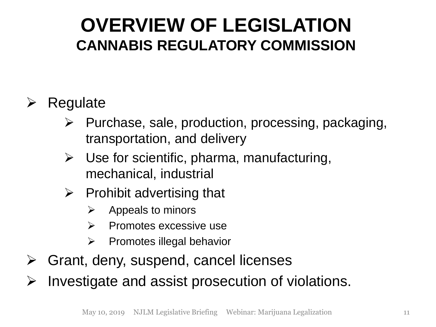#### **OVERVIEW OF LEGISLATION CANNABIS REGULATORY COMMISSION**

#### $\triangleright$  Regulate

- $\triangleright$  Purchase, sale, production, processing, packaging, transportation, and delivery
- $\triangleright$  Use for scientific, pharma, manufacturing, mechanical, industrial
- $\triangleright$  Prohibit advertising that
	- $\triangleright$  Appeals to minors
	- $\triangleright$  Promotes excessive use
	- $\triangleright$  Promotes illegal behavior
- $\triangleright$  Grant, deny, suspend, cancel licenses

 $\triangleright$  Investigate and assist prosecution of violations.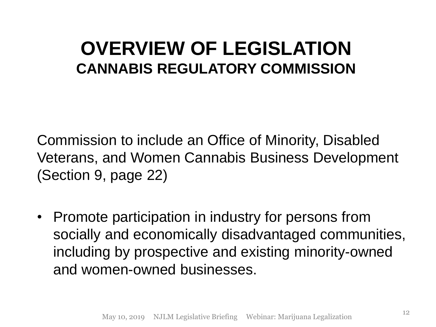#### **OVERVIEW OF LEGISLATION CANNABIS REGULATORY COMMISSION**

Commission to include an Office of Minority, Disabled Veterans, and Women Cannabis Business Development (Section 9, page 22)

• Promote participation in industry for persons from socially and economically disadvantaged communities, including by prospective and existing minority-owned and women-owned businesses.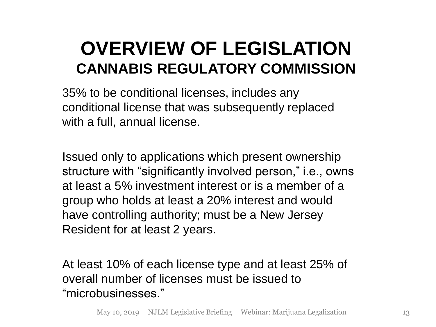#### **OVERVIEW OF LEGISLATION CANNABIS REGULATORY COMMISSION**

35% to be conditional licenses, includes any conditional license that was subsequently replaced with a full, annual license.

Issued only to applications which present ownership structure with "significantly involved person," i.e., owns at least a 5% investment interest or is a member of a group who holds at least a 20% interest and would have controlling authority; must be a New Jersey Resident for at least 2 years.

At least 10% of each license type and at least 25% of overall number of licenses must be issued to "microbusinesses."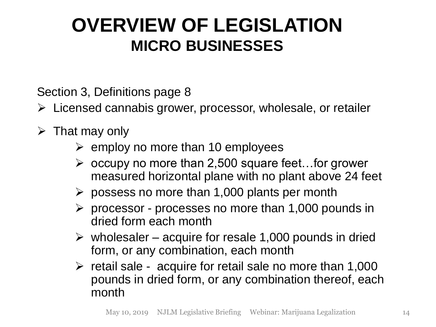### **OVERVIEW OF LEGISLATION MICRO BUSINESSES**

Section 3, Definitions page 8

- Licensed cannabis grower, processor, wholesale, or retailer
- $\triangleright$  That may only
	- $\triangleright$  employ no more than 10 employees
	- $\triangleright$  occupy no more than 2,500 square feet... for grower measured horizontal plane with no plant above 24 feet
	- $\triangleright$  possess no more than 1,000 plants per month
	- $\triangleright$  processor processes no more than 1,000 pounds in dried form each month
	- $\triangleright$  wholesaler acquire for resale 1,000 pounds in dried form, or any combination, each month
	- $\triangleright$  retail sale acquire for retail sale no more than 1,000 pounds in dried form, or any combination thereof, each month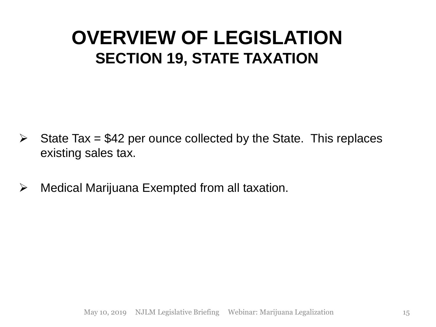#### **OVERVIEW OF LEGISLATION SECTION 19, STATE TAXATION**

- $\triangleright$  State Tax = \$42 per ounce collected by the State. This replaces existing sales tax.
- $\triangleright$  Medical Marijuana Exempted from all taxation.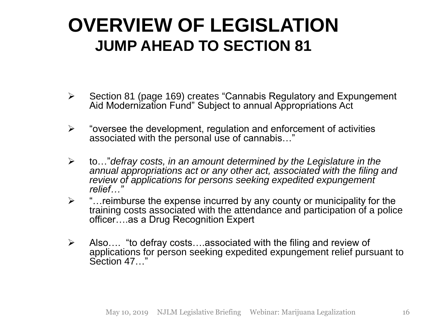#### **OVERVIEW OF LEGISLATION JUMP AHEAD TO SECTION 81**

- Section 81 (page 169) creates "Cannabis Regulatory and Expungement Aid Modernization Fund" Subject to annual Appropriations Act
- $\triangleright$  "oversee the development, regulation and enforcement of activities associated with the personal use of cannabis…"
- to…"*defray costs, in an amount determined by the Legislature in the annual appropriations act or any other act, associated with the filing and review of applications for persons seeking expedited expungement relief…"*
- $\triangleright$  "... reimburse the expense incurred by any county or municipality for the training costs associated with the attendance and participation of a police officer….as a Drug Recognition Expert
- $\triangleright$  Also.... "to defray costs....associated with the filing and review of applications for person seeking expedited expungement relief pursuant to Section 47.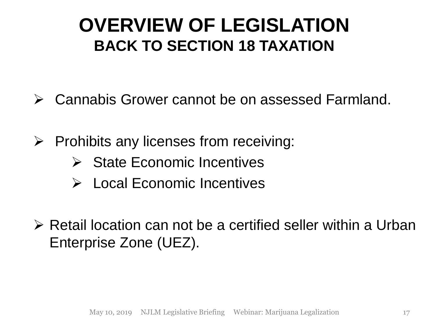#### **OVERVIEW OF LEGISLATION BACK TO SECTION 18 TAXATION**

- Cannabis Grower cannot be on assessed Farmland.
- $\triangleright$  Prohibits any licenses from receiving:
	- $\triangleright$  State Economic Incentives
	- Local Economic Incentives
- $\triangleright$  Retail location can not be a certified seller within a Urban Enterprise Zone (UEZ).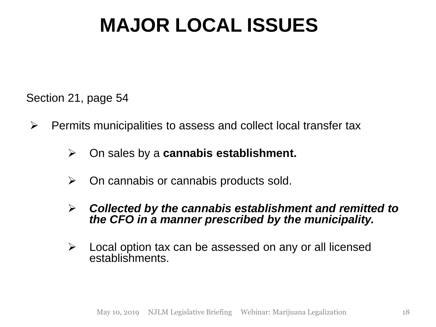## **MAJOR LOCAL ISSUES**

Section 21, page 54

- $\triangleright$  Permits municipalities to assess and collect local transfer tax
	- On sales by a **cannabis establishment.**
	- $\triangleright$  On cannabis or cannabis products sold.
	- *Collected by the cannabis establishment and remitted to the CFO in a manner prescribed by the municipality.*
	- $\triangleright$  Local option tax can be assessed on any or all licensed establishments.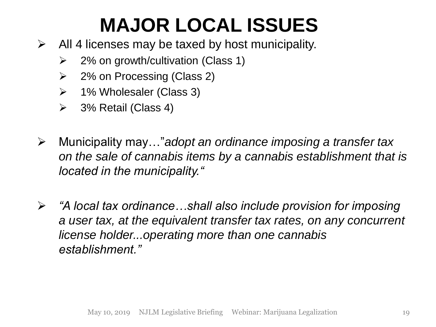# **MAJOR LOCAL ISSUES**

- $\triangleright$  All 4 licenses may be taxed by host municipality.
	- $\geq$  2% on growth/cultivation (Class 1)
	- $\geq$  2% on Processing (Class 2)
	- $\triangleright$  1% Wholesaler (Class 3)
	- $\triangleright$  3% Retail (Class 4)
- Municipality may…"*adopt an ordinance imposing a transfer tax on the sale of cannabis items by a cannabis establishment that is located in the municipality."*
- *"A local tax ordinance…shall also include provision for imposing a user tax, at the equivalent transfer tax rates, on any concurrent license holder...operating more than one cannabis establishment."*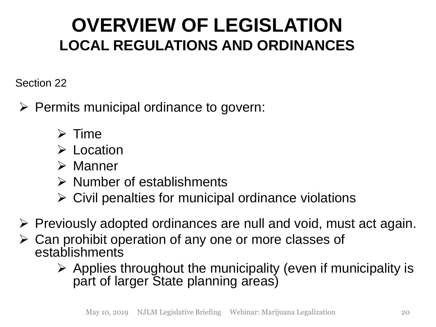Section 22

- $\triangleright$  Permits municipal ordinance to govern:
	- $\triangleright$  Time
	- **► Location**
	- $\triangleright$  Manner
	- $\triangleright$  Number of establishments
	- $\triangleright$  Civil penalties for municipal ordinance violations
- $\triangleright$  Previously adopted ordinances are null and void, must act again.
- $\triangleright$  Can prohibit operation of any one or more classes of establishments
	- $\triangleright$  Applies throughout the municipality (even if municipality is part of larger State planning areas)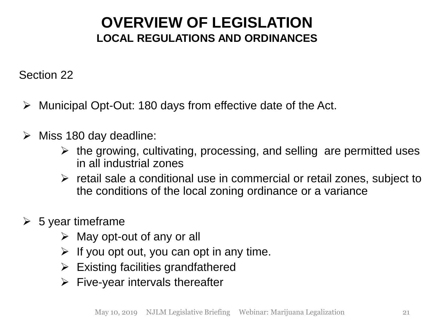Section 22

- Municipal Opt-Out: 180 days from effective date of the Act.
- $\triangleright$  Miss 180 day deadline:
	- $\triangleright$  the growing, cultivating, processing, and selling are permitted uses in all industrial zones
	- $\triangleright$  retail sale a conditional use in commercial or retail zones, subject to the conditions of the local zoning ordinance or a variance
- $\triangleright$  5 year timeframe
	- $\triangleright$  May opt-out of any or all
	- $\triangleright$  If you opt out, you can opt in any time.
	- $\triangleright$  Existing facilities grandfathered
	- $\triangleright$  Five-year intervals thereafter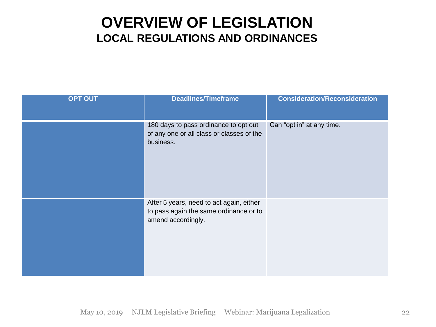| <b>OPT OUT</b> | <b>Deadlines/Timeframe</b>                                                                               | <b>Consideration/Reconsideration</b> |
|----------------|----------------------------------------------------------------------------------------------------------|--------------------------------------|
|                | 180 days to pass ordinance to opt out<br>of any one or all class or classes of the<br>business.          | Can "opt in" at any time.            |
|                | After 5 years, need to act again, either<br>to pass again the same ordinance or to<br>amend accordingly. |                                      |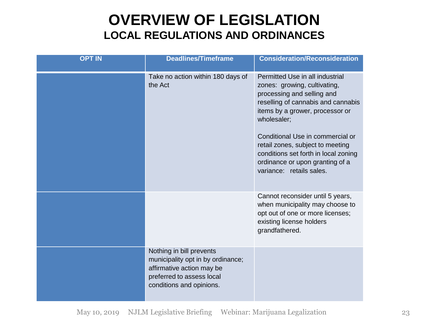| <b>OPT IN</b> | <b>Deadlines/Timeframe</b>                                                                                                                          | <b>Consideration/Reconsideration</b>                                                                                                                                                                                                                                                                                                                                 |
|---------------|-----------------------------------------------------------------------------------------------------------------------------------------------------|----------------------------------------------------------------------------------------------------------------------------------------------------------------------------------------------------------------------------------------------------------------------------------------------------------------------------------------------------------------------|
|               | Take no action within 180 days of<br>the Act                                                                                                        | Permitted Use in all industrial<br>zones: growing, cultivating,<br>processing and selling and<br>reselling of cannabis and cannabis<br>items by a grower, processor or<br>wholesaler;<br>Conditional Use in commercial or<br>retail zones, subject to meeting<br>conditions set forth in local zoning<br>ordinance or upon granting of a<br>variance: retails sales. |
|               |                                                                                                                                                     | Cannot reconsider until 5 years,<br>when municipality may choose to<br>opt out of one or more licenses;<br>existing license holders<br>grandfathered.                                                                                                                                                                                                                |
|               | Nothing in bill prevents<br>municipality opt in by ordinance;<br>affirmative action may be<br>preferred to assess local<br>conditions and opinions. |                                                                                                                                                                                                                                                                                                                                                                      |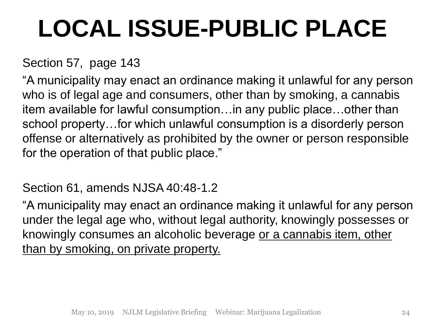# **LOCAL ISSUE-PUBLIC PLACE**

#### Section 57, page 143

"A municipality may enact an ordinance making it unlawful for any person who is of legal age and consumers, other than by smoking, a cannabis item available for lawful consumption…in any public place…other than school property…for which unlawful consumption is a disorderly person offense or alternatively as prohibited by the owner or person responsible for the operation of that public place."

#### Section 61, amends NJSA 40:48-1.2

"A municipality may enact an ordinance making it unlawful for any person under the legal age who, without legal authority, knowingly possesses or knowingly consumes an alcoholic beverage or a cannabis item, other than by smoking, on private property.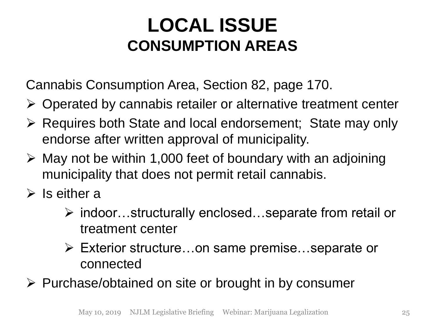### **LOCAL ISSUE CONSUMPTION AREAS**

Cannabis Consumption Area, Section 82, page 170.

- $\triangleright$  Operated by cannabis retailer or alternative treatment center
- Requires both State and local endorsement; State may only endorse after written approval of municipality.
- $\triangleright$  May not be within 1,000 feet of boundary with an adjoining municipality that does not permit retail cannabis.
- $\triangleright$  Is either a
	- indoor…structurally enclosed…separate from retail or treatment center
	- Exterior structure…on same premise…separate or connected

 $\triangleright$  Purchase/obtained on site or brought in by consumer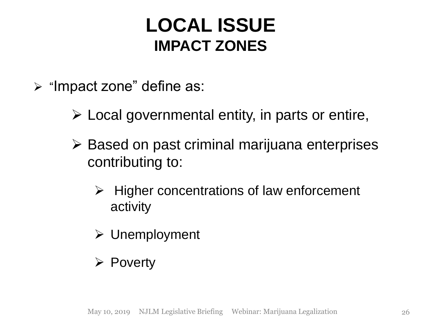#### **LOCAL ISSUE IMPACT ZONES**

- $\triangleright$  "Impact zone" define as:
	- $\triangleright$  Local governmental entity, in parts or entire,
	- $\triangleright$  Based on past criminal marijuana enterprises contributing to:
		- $\triangleright$  Higher concentrations of law enforcement activity
		- $\triangleright$  Unemployment
		- $\triangleright$  Poverty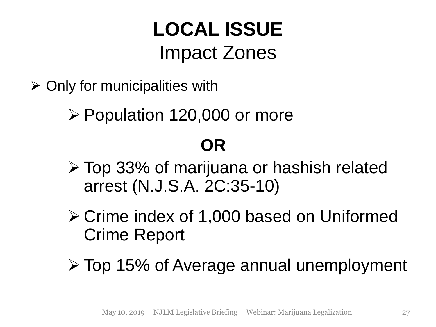# **LOCAL ISSUE** Impact Zones

 $\triangleright$  Only for municipalities with

Population 120,000 or more

### **OR**

- Top 33% of marijuana or hashish related arrest (N.J.S.A. 2C:35-10)
- Crime index of 1,000 based on Uniformed Crime Report
- Top 15% of Average annual unemployment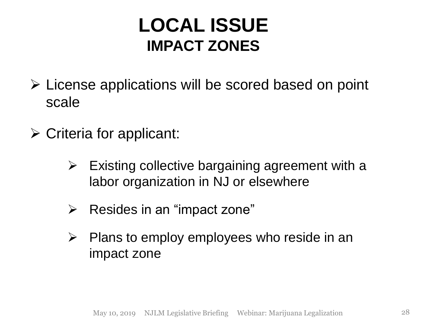#### **LOCAL ISSUE IMPACT ZONES**

- $\triangleright$  License applications will be scored based on point scale
- $\triangleright$  Criteria for applicant:
	- $\triangleright$  Existing collective bargaining agreement with a labor organization in NJ or elsewhere
	- $\triangleright$  Resides in an "impact zone"
	- $\triangleright$  Plans to employ employees who reside in an impact zone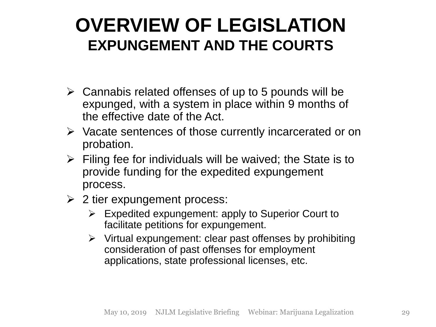#### **OVERVIEW OF LEGISLATION EXPUNGEMENT AND THE COURTS**

- $\triangleright$  Cannabis related offenses of up to 5 pounds will be expunged, with a system in place within 9 months of the effective date of the Act.
- $\triangleright$  Vacate sentences of those currently incarcerated or on probation.
- $\triangleright$  Filing fee for individuals will be waived; the State is to provide funding for the expedited expungement process.
- $\geq$  2 tier expungement process:
	- $\triangleright$  Expedited expungement: apply to Superior Court to facilitate petitions for expungement.
	- $\triangleright$  Virtual expungement: clear past offenses by prohibiting consideration of past offenses for employment applications, state professional licenses, etc.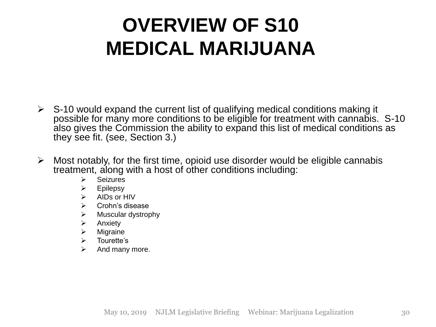- $\triangleright$  S-10 would expand the current list of qualifying medical conditions making it possible for many more conditions to be eligible for treatment with cannabis. S-10 also gives the Commission the ability to expand this list of medical conditions as they see fit. (see, Section 3.)
- $\triangleright$  Most notably, for the first time, opioid use disorder would be eligible cannabis treatment, along with a host of other conditions including:
	- $\triangleright$  Seizures
	- $\triangleright$  Epilepsy
	- $\triangleright$  AIDs or HIV
	- $\triangleright$  Crohn's disease
	- $\triangleright$  Muscular dystrophy
	- $\triangleright$  Anxiety
	- $\triangleright$  Migraine
	- $\triangleright$  Tourette's
	- $\triangleright$  And many more.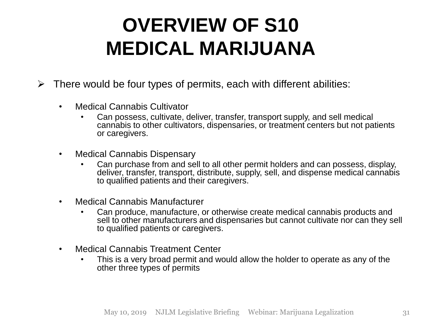- $\triangleright$  There would be four types of permits, each with different abilities:
	- Medical Cannabis Cultivator
		- Can possess, cultivate, deliver, transfer, transport supply, and sell medical cannabis to other cultivators, dispensaries, or treatment centers but not patients or caregivers.
	- Medical Cannabis Dispensary
		- Can purchase from and sell to all other permit holders and can possess, display, deliver, transfer, transport, distribute, supply, sell, and dispense medical cannabis to qualified patients and their caregivers.
	- Medical Cannabis Manufacturer
		- Can produce, manufacture, or otherwise create medical cannabis products and sell to other manufacturers and dispensaries but cannot cultivate nor can they sell to qualified patients or caregivers.
	- Medical Cannabis Treatment Center
		- This is a very broad permit and would allow the holder to operate as any of the other three types of permits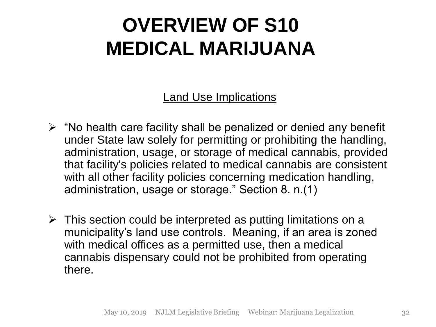Land Use Implications

- $\triangleright$  "No health care facility shall be penalized or denied any benefit under State law solely for permitting or prohibiting the handling, administration, usage, or storage of medical cannabis, provided that facility's policies related to medical cannabis are consistent with all other facility policies concerning medication handling, administration, usage or storage." Section 8. n.(1)
- $\triangleright$  This section could be interpreted as putting limitations on a municipality's land use controls. Meaning, if an area is zoned with medical offices as a permitted use, then a medical cannabis dispensary could not be prohibited from operating there.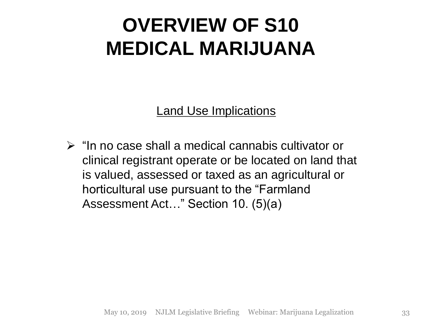Land Use Implications

 $\triangleright$  "In no case shall a medical cannabis cultivator or clinical registrant operate or be located on land that is valued, assessed or taxed as an agricultural or horticultural use pursuant to the "Farmland Assessment Act…" Section 10. (5)(a)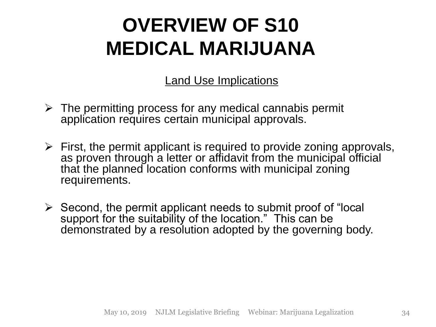Land Use Implications

- $\triangleright$  The permitting process for any medical cannabis permit application requires certain municipal approvals.
- $\triangleright$  First, the permit applicant is required to provide zoning approvals, as proven through a letter or affidavit from the municipal official that the planned location conforms with municipal zoning requirements.
- $\triangleright$  Second, the permit applicant needs to submit proof of "local" support for the suitability of the location." This can be demonstrated by a resolution adopted by the governing body.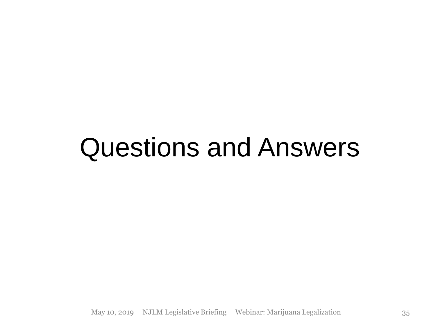# Questions and Answers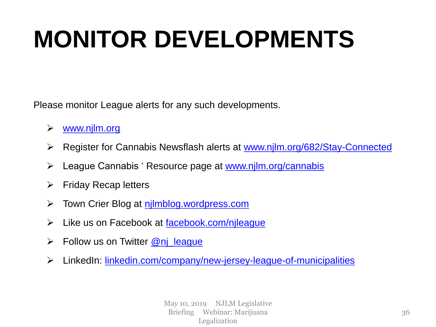# **MONITOR DEVELOPMENTS**

Please monitor League alerts for any such developments.

- [www.njlm.org](http://www.njlm.org/)
- Register for Cannabis Newsflash alerts at [www.njlm.org/682/Stay-Connected](https://www.njlm.org/682/Stay-Connected)
- League Cannabis ' Resource page at [www.njlm.org/cannabis](http://www.njlm.org/cannabis)
- $\triangleright$  Friday Recap letters
- Town Crier Blog at [njlmblog.wordpress.com](https://njlmblog.wordpress.com/)
- $\triangleright$  Like us on Facebook at [facebook.com/njleague](http://www.facebook.com/njleague)
- $\triangleright$  Follow us on Twitter  $@$ nj league
- LinkedIn: [linkedin.com/company/new-jersey-league-of-municipalities](http://www.linkedin.com/company/new-jersey-league-of-municipalities)